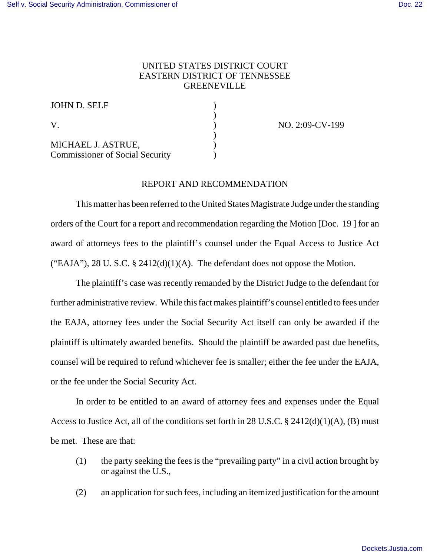## UNITED STATES DISTRICT COURT EASTERN DISTRICT OF TENNESSEE **GREENEVILLE**

| JOHN D. SELF                                                 |  |
|--------------------------------------------------------------|--|
| V                                                            |  |
| MICHAEL J. ASTRUE,<br><b>Commissioner of Social Security</b> |  |

NO. 2:09-CV-199

## REPORT AND RECOMMENDATION

This matter has been referred to the United States Magistrate Judge under the standing orders of the Court for a report and recommendation regarding the Motion [Doc. 19 ] for an award of attorneys fees to the plaintiff's counsel under the Equal Access to Justice Act ("EAJA"), 28 U. S.C.  $\S$  2412(d)(1)(A). The defendant does not oppose the Motion.

The plaintiff's case was recently remanded by the District Judge to the defendant for further administrative review. While this fact makes plaintiff's counsel entitled to fees under the EAJA, attorney fees under the Social Security Act itself can only be awarded if the plaintiff is ultimately awarded benefits. Should the plaintiff be awarded past due benefits, counsel will be required to refund whichever fee is smaller; either the fee under the EAJA, or the fee under the Social Security Act.

In order to be entitled to an award of attorney fees and expenses under the Equal Access to Justice Act, all of the conditions set forth in 28 U.S.C. § 2412(d)(1)(A), (B) must be met. These are that:

- (1) the party seeking the fees is the "prevailing party" in a civil action brought by or against the U.S.,
- (2) an application for such fees, including an itemized justification for the amount